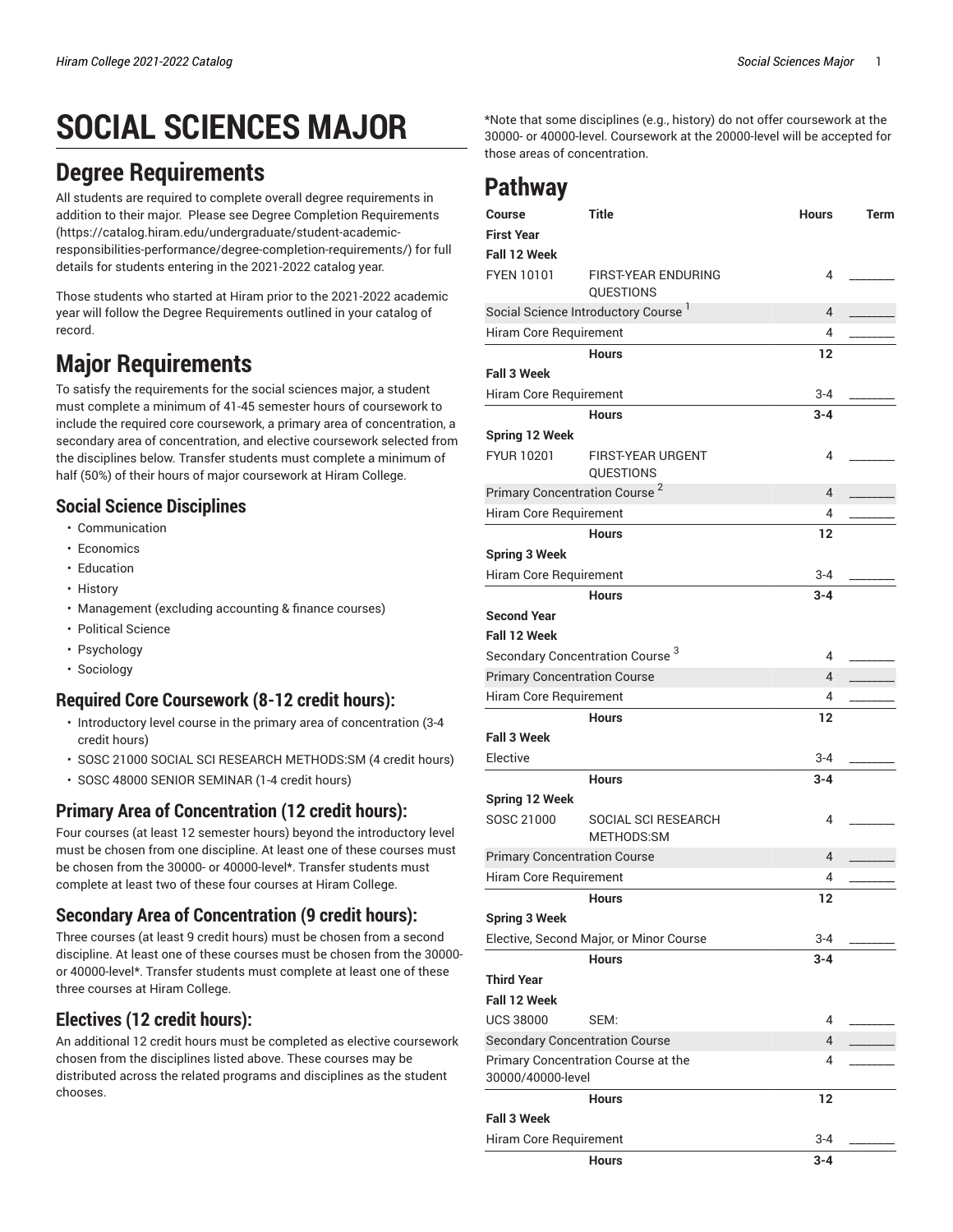# **SOCIAL SCIENCES MAJOR**

### **Degree Requirements**

All students are required to complete overall degree requirements in addition to their major. Please see Degree Completion [Requirements](https://catalog.hiram.edu/undergraduate/student-academic-responsibilities-performance/degree-completion-requirements/) ([https://catalog.hiram.edu/undergraduate/student-academic](https://catalog.hiram.edu/undergraduate/student-academic-responsibilities-performance/degree-completion-requirements/)[responsibilities-performance/degree-completion-requirements/](https://catalog.hiram.edu/undergraduate/student-academic-responsibilities-performance/degree-completion-requirements/)) for full details for students entering in the 2021-2022 catalog year.

Those students who started at Hiram prior to the 2021-2022 academic year will follow the Degree Requirements outlined in your catalog of record.

## **Major Requirements**

To satisfy the requirements for the social sciences major, a student must complete a minimum of 41-45 semester hours of coursework to include the required core coursework, a primary area of concentration, a secondary area of concentration, and elective coursework selected from the disciplines below. Transfer students must complete a minimum of half (50%) of their hours of major coursework at Hiram College.

### **Social Science Disciplines**

- Communication
- Economics
- Education
- History
- Management (excluding accounting & finance courses)
- Political Science
- Psychology
- Sociology

#### **Required Core Coursework (8-12 credit hours):**

- Introductory level course in the primary area of concentration (3-4 credit hours)
- SOSC 21000 SOCIAL SCI RESEARCH METHODS:SM (4 credit hours)
- SOSC 48000 SENIOR SEMINAR (1-4 credit hours)

#### **Primary Area of Concentration (12 credit hours):**

Four courses (at least 12 semester hours) beyond the introductory level must be chosen from one discipline. At least one of these courses must be chosen from the 30000- or 40000-level\*. Transfer students must complete at least two of these four courses at Hiram College.

#### **Secondary Area of Concentration (9 credit hours):**

Three courses (at least 9 credit hours) must be chosen from a second discipline. At least one of these courses must be chosen from the 30000 or 40000-level\*. Transfer students must complete at least one of these three courses at Hiram College.

### **Electives (12 credit hours):**

An additional 12 credit hours must be completed as elective coursework chosen from the disciplines listed above. These courses may be distributed across the related programs and disciplines as the student chooses.

\*Note that some disciplines (e.g., history) do not offer coursework at the 30000- or 40000-level. Coursework at the 20000-level will be accepted for those areas of concentration.

### **Pathway**

| <b>Course</b>                                            | <b>Title</b>                                    | <b>Hours</b> | Term |
|----------------------------------------------------------|-------------------------------------------------|--------------|------|
| <b>First Year</b>                                        |                                                 |              |      |
| <b>Fall 12 Week</b>                                      |                                                 |              |      |
| <b>FYEN 10101</b>                                        | <b>FIRST-YEAR ENDURING</b><br><b>QUESTIONS</b>  | 4            |      |
|                                                          | Social Science Introductory Course <sup>1</sup> | 4            |      |
| Hiram Core Requirement                                   |                                                 | 4            |      |
|                                                          | <b>Hours</b>                                    | 12           |      |
| <b>Fall 3 Week</b>                                       |                                                 |              |      |
| Hiram Core Requirement                                   |                                                 | $3 - 4$      |      |
|                                                          | <b>Hours</b>                                    | $3 - 4$      |      |
| <b>Spring 12 Week</b>                                    |                                                 |              |      |
| <b>FYUR 10201</b>                                        | <b>FIRST-YEAR URGENT</b><br>QUESTIONS           | 4            |      |
|                                                          | Primary Concentration Course <sup>2</sup>       | 4            |      |
| Hiram Core Requirement                                   |                                                 | 4            |      |
|                                                          | <b>Hours</b>                                    | 12           |      |
| <b>Spring 3 Week</b>                                     |                                                 |              |      |
| Hiram Core Requirement                                   |                                                 | $3 - 4$      |      |
|                                                          | <b>Hours</b>                                    | $3 - 4$      |      |
| <b>Second Year</b>                                       |                                                 |              |      |
| <b>Fall 12 Week</b>                                      |                                                 |              |      |
| Secondary Concentration Course <sup>3</sup>              |                                                 | 4            |      |
| <b>Primary Concentration Course</b>                      |                                                 | 4            |      |
|                                                          | Hiram Core Requirement                          |              |      |
|                                                          | <b>Hours</b>                                    | 4<br>12      |      |
| <b>Fall 3 Week</b>                                       |                                                 |              |      |
| Elective                                                 |                                                 | $3 - 4$      |      |
|                                                          | <b>Hours</b>                                    | $3 - 4$      |      |
| <b>Spring 12 Week</b>                                    |                                                 |              |      |
| SOSC 21000                                               | SOCIAL SCI RESEARCH<br>METHODS:SM               | 4            |      |
| <b>Primary Concentration Course</b>                      |                                                 | 4            |      |
| Hiram Core Requirement                                   |                                                 | 4            |      |
|                                                          | <b>Hours</b>                                    |              |      |
| <b>Spring 3 Week</b>                                     |                                                 | 12           |      |
|                                                          | Elective, Second Major, or Minor Course         | 3-4          |      |
|                                                          | <b>Hours</b>                                    | $3 - 4$      |      |
| <b>Third Year</b>                                        |                                                 |              |      |
| <b>Fall 12 Week</b>                                      |                                                 |              |      |
| <b>UCS 38000</b>                                         | SEM:                                            | 4            |      |
|                                                          |                                                 | 4            |      |
|                                                          | <b>Secondary Concentration Course</b>           |              |      |
| Primary Concentration Course at the<br>30000/40000-level |                                                 | 4            |      |
|                                                          | <b>Hours</b>                                    | 12           |      |
| <b>Fall 3 Week</b>                                       |                                                 |              |      |
| Hiram Core Requirement                                   |                                                 | 3-4          |      |
|                                                          | <b>Hours</b>                                    | $3 - 4$      |      |